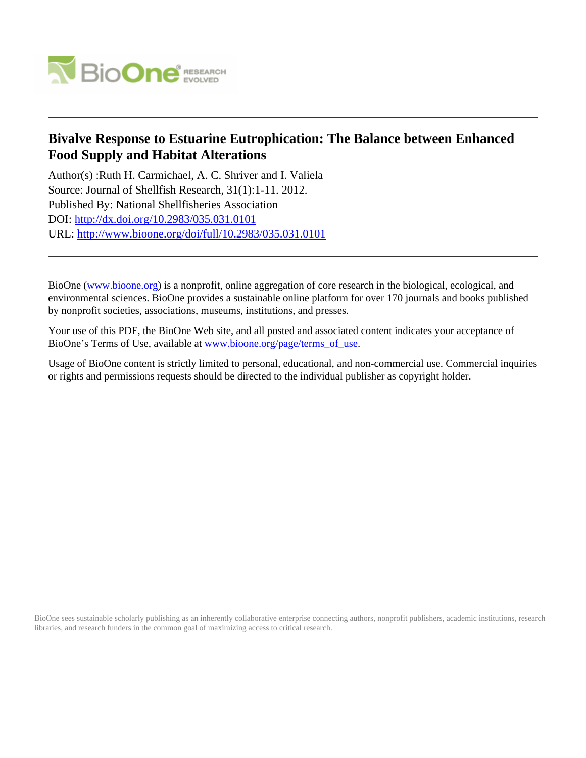

# **Bivalve Response to Estuarine Eutrophication: The Balance between Enhanced Food Supply and Habitat Alterations**

Author(s) :Ruth H. Carmichael, A. C. Shriver and I. Valiela Source: Journal of Shellfish Research, 31(1):1-11. 2012. Published By: National Shellfisheries Association DOI:<http://dx.doi.org/10.2983/035.031.0101> URL: <http://www.bioone.org/doi/full/10.2983/035.031.0101>

BioOne [\(www.bioone.org\)](http://www.bioone.org) is a nonprofit, online aggregation of core research in the biological, ecological, and environmental sciences. BioOne provides a sustainable online platform for over 170 journals and books published by nonprofit societies, associations, museums, institutions, and presses.

Your use of this PDF, the BioOne Web site, and all posted and associated content indicates your acceptance of BioOne's Terms of Use, available at [www.bioone.org/page/terms\\_of\\_use.](http://www.bioone.org/page/terms_of_use)

Usage of BioOne content is strictly limited to personal, educational, and non-commercial use. Commercial inquiries or rights and permissions requests should be directed to the individual publisher as copyright holder.

BioOne sees sustainable scholarly publishing as an inherently collaborative enterprise connecting authors, nonprofit publishers, academic institutions, research libraries, and research funders in the common goal of maximizing access to critical research.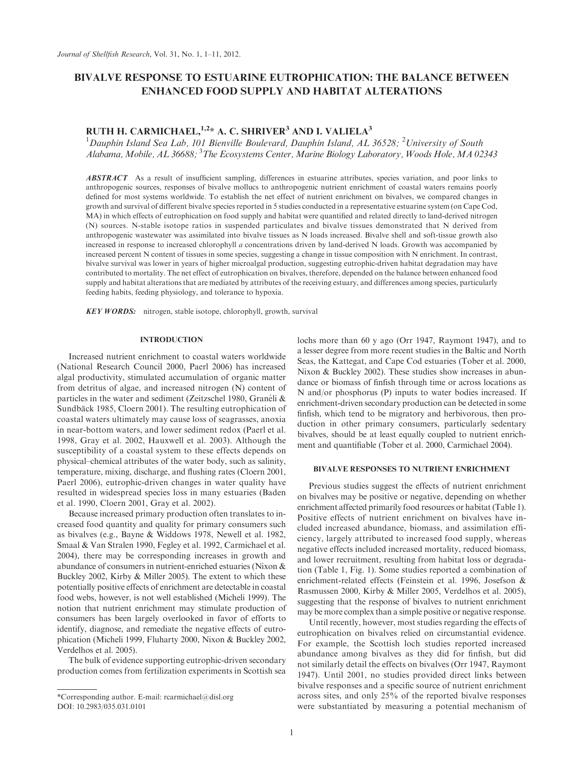# BIVALVE RESPONSE TO ESTUARINE EUTROPHICATION: THE BALANCE BETWEEN ENHANCED FOOD SUPPLY AND HABITAT ALTERATIONS

# RUTH H. CARMICHAEL, <sup>1,2\*</sup> A. C. SHRIVER<sup>3</sup> AND I. VALIELA<sup>3</sup>

<sup>1</sup>Dauphin Island Sea Lab, 101 Bienville Boulevard, Dauphin Island, AL 36528; <sup>2</sup>University of South Alabama, Mobile, AL 36688; <sup>3</sup>The Ecosystems Center, Marine Biology Laboratory, Woods Hole, MA 02343

ABSTRACT As a result of insufficient sampling, differences in estuarine attributes, species variation, and poor links to anthropogenic sources, responses of bivalve mollucs to anthropogenic nutrient enrichment of coastal waters remains poorly defined for most systems worldwide. To establish the net effect of nutrient enrichment on bivalves, we compared changes in growth and survival of different bivalve species reported in 5 studies conducted in a representative estuarine system (on Cape Cod, MA) in which effects of eutrophication on food supply and habitat were quantified and related directly to land-derived nitrogen (N) sources. N-stable isotope ratios in suspended particulates and bivalve tissues demonstrated that N derived from anthropogenic wastewater was assimilated into bivalve tissues as N loads increased. Bivalve shell and soft-tissue growth also increased in response to increased chlorophyll a concentrations driven by land-derived N loads. Growth was accompanied by increased percent N content of tissues in some species, suggesting a change in tissue composition with N enrichment. In contrast, bivalve survival was lower in years of higher microalgal production, suggesting eutrophic-driven habitat degradation may have contributed to mortality. The net effect of eutrophication on bivalves, therefore, depended on the balance between enhanced food supply and habitat alterations that are mediated by attributes of the receiving estuary, and differences among species, particularly feeding habits, feeding physiology, and tolerance to hypoxia.

KEY WORDS: nitrogen, stable isotope, chlorophyll, growth, survival

### INTRODUCTION

Increased nutrient enrichment to coastal waters worldwide (National Research Council 2000, Paerl 2006) has increased algal productivity, stimulated accumulation of organic matter from detritus of algae, and increased nitrogen (N) content of particles in the water and sediment (Zeitzschel 1980, Granéli & Sundbäck 1985, Cloern 2001). The resulting eutrophication of coastal waters ultimately may cause loss of seagrasses, anoxia in near-bottom waters, and lower sediment redox (Paerl et al. 1998, Gray et al. 2002, Hauxwell et al. 2003). Although the susceptibility of a coastal system to these effects depends on physical–chemical attributes of the water body, such as salinity, temperature, mixing, discharge, and flushing rates (Cloern 2001, Paerl 2006), eutrophic-driven changes in water quality have resulted in widespread species loss in many estuaries (Baden et al. 1990, Cloern 2001, Gray et al. 2002).

Because increased primary production often translates to increased food quantity and quality for primary consumers such as bivalves (e.g., Bayne & Widdows 1978, Newell et al. 1982, Smaal & Van Stralen 1990, Fegley et al. 1992, Carmichael et al. 2004), there may be corresponding increases in growth and abundance of consumers in nutrient-enriched estuaries (Nixon & Buckley 2002, Kirby & Miller 2005). The extent to which these potentially positive effects of enrichment are detectable in coastal food webs, however, is not well established (Micheli 1999). The notion that nutrient enrichment may stimulate production of consumers has been largely overlooked in favor of efforts to identify, diagnose, and remediate the negative effects of eutrophication (Micheli 1999, Fluharty 2000, Nixon & Buckley 2002, Verdelhos et al. 2005).

The bulk of evidence supporting eutrophic-driven secondary production comes from fertilization experiments in Scottish sea lochs more than 60 y ago (Orr 1947, Raymont 1947), and to a lesser degree from more recent studies in the Baltic and North Seas, the Kattegat, and Cape Cod estuaries (Tober et al. 2000, Nixon & Buckley 2002). These studies show increases in abundance or biomass of finfish through time or across locations as N and/or phosphorus (P) inputs to water bodies increased. If enrichment-driven secondary production can be detected in some finfish, which tend to be migratory and herbivorous, then production in other primary consumers, particularly sedentary bivalves, should be at least equally coupled to nutrient enrichment and quantifiable (Tober et al. 2000, Carmichael 2004).

## BIVALVE RESPONSES TO NUTRIENT ENRICHMENT

Previous studies suggest the effects of nutrient enrichment on bivalves may be positive or negative, depending on whether enrichment affected primarily food resources or habitat (Table 1). Positive effects of nutrient enrichment on bivalves have included increased abundance, biomass, and assimilation efficiency, largely attributed to increased food supply, whereas negative effects included increased mortality, reduced biomass, and lower recruitment, resulting from habitat loss or degradation (Table 1, Fig. 1). Some studies reported a combination of enrichment-related effects (Feinstein et al. 1996, Josefson & Rasmussen 2000, Kirby & Miller 2005, Verdelhos et al. 2005), suggesting that the response of bivalves to nutrient enrichment may be more complex than a simple positive or negative response.

Until recently, however, most studies regarding the effects of eutrophication on bivalves relied on circumstantial evidence. For example, the Scottish loch studies reported increased abundance among bivalves as they did for finfish, but did not similarly detail the effects on bivalves (Orr 1947, Raymont 1947). Until 2001, no studies provided direct links between bivalve responses and a specific source of nutrient enrichment across sites, and only 25% of the reported bivalve responses were substantiated by measuring a potential mechanism of

<sup>\*</sup>Corresponding author. E-mail: rcarmichael@disl.org DOI: 10.2983/035.031.0101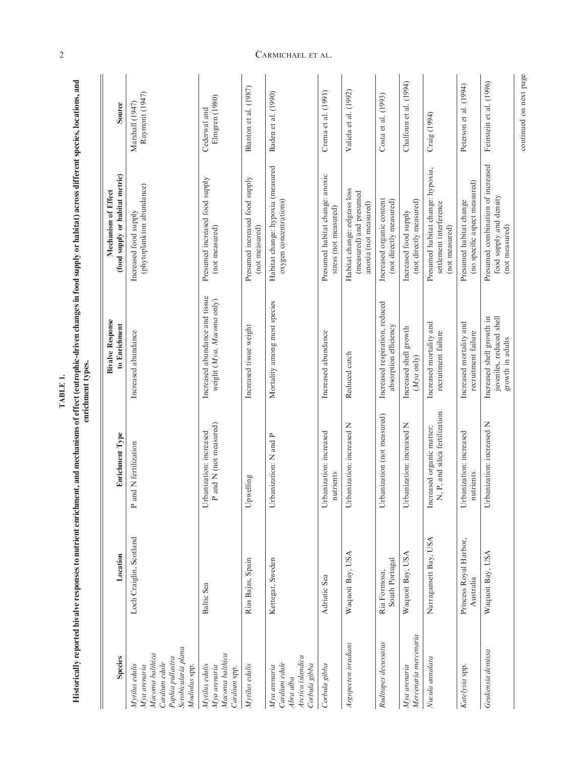| <b>Species</b>                                                                                                                 | Location                            | Enrichment Type                                             | <b>Bivalve Response</b><br>to Enrichment                                  | (food supply or habitat metric)<br>Mechanism of Effect                            | Source                            |
|--------------------------------------------------------------------------------------------------------------------------------|-------------------------------------|-------------------------------------------------------------|---------------------------------------------------------------------------|-----------------------------------------------------------------------------------|-----------------------------------|
| Scrobicularia plana<br>Macoma balthica<br>Paphia pullastra<br>Cardium edule<br>Mytilus edulis<br>Modiolus spp.<br>Mya arenaria | Loch Craiglin, Scotland             | and N fertilization<br>$\sim$                               | Increased abundance                                                       | (phytoplankton abundance)<br>Increased food supply                                | Raymont (1947)<br>Marshall (1947) |
| Macoma balthica<br>Mytilus edulis<br>Mya arenaria<br>Cardium spp.                                                              | Baltic Sea                          | P and N (not measured)<br>Urbanization: increased           | Increased abundance and tissue<br>weight (Mya, Macoma only)               | Presumed increased food supply<br>(not measured)                                  | Elmgren (1980)<br>Cederwal and    |
| Mytilus edulis                                                                                                                 | Rías Bajas, Spain                   | Upwelling                                                   | Increased tissue weight                                                   | Presumed increased food supply<br>(not measured)                                  | Blanton et al. (1987)             |
| Arctica islandica<br>Cardium edule<br>Corbula gibba<br>Mya arenaria<br>Abra alba                                               | Kettegat, Sweden                    | Urbanization: N and P                                       | Mortality among most species                                              | Habitat change: hypoxia (measured<br>oxygen concentrations)                       | Baden et al. (1990)               |
| Corbula gibba                                                                                                                  | Adriatic Sea                        | Urbanization: increased<br>nutrients                        | Increased abundance                                                       | Presumed habitat change: anoxic<br>stress (not measured)                          | Crema et al. (1991)               |
| Argopecten irradians                                                                                                           | Waquoit Bay, USA                    | Urbanization: increased N                                   | Reduced catch                                                             | Habitat change: eelgrass loss<br>(measured) and presumed<br>anoxia (not measured) | Valiela et al. (1992)             |
| Ruditapes decussatus                                                                                                           | South Portugal<br>Ria Formosa,      | Urbanization (not measured)                                 | Increased respiration, reduced<br>absorption efficiency                   | Increased organic content<br>(not directly measured)                              | Costa et al. (1993)               |
| Mercenaria mercenaria<br>Mya arenaria                                                                                          | Waquoit Bay, USA                    | Urbanization: increased N                                   | Increased shell growth<br>$(Mya$ only)                                    | (not directly measured)<br>Increased food supply                                  | Chalfoun et al. (1994)            |
| Nucula amulata                                                                                                                 | Narragansett Bay, USA               | N, P, and silica fertilization<br>Increased organic matter; | Increased mortality and<br>recruitment failure                            | Presumed habitat change: hypoxia,<br>settlement interference<br>(not measured)    | Craig (1994)                      |
| Katelysia spp.                                                                                                                 | Princess Royal Harbor,<br>Australia | Urbanization: increased<br>nutrients                        | Increased mortality and<br>recruitment failure                            | (no specific aspect measured)<br>Presumed habitat change                          | Peterson et al. (1994)            |
| Geukensia demissa                                                                                                              | Waquoit Bay, USA                    | Urbanization: increased N                                   | juveniles, reduced shell<br>Increased shell growth in<br>growth in adults | Presumed combination of increased<br>food supply and density<br>(not measured)    | Feinstein et al. (1996)           |
|                                                                                                                                |                                     |                                                             |                                                                           |                                                                                   | continued on next page            |

TABLE 1. TABLE 1.

Historically reported bivalve responses to nutrient enrichment, and mechanisms of effect (eutrophic-driven changes in food supply or habitat) across different species, locations, and Historically reported bivalve responses to nutrient enrichment, and mechanisms of effect (eutrophic-driven changes in food supply or habitat) across different species, locations, and

2

# CARMICHAEL ET AL .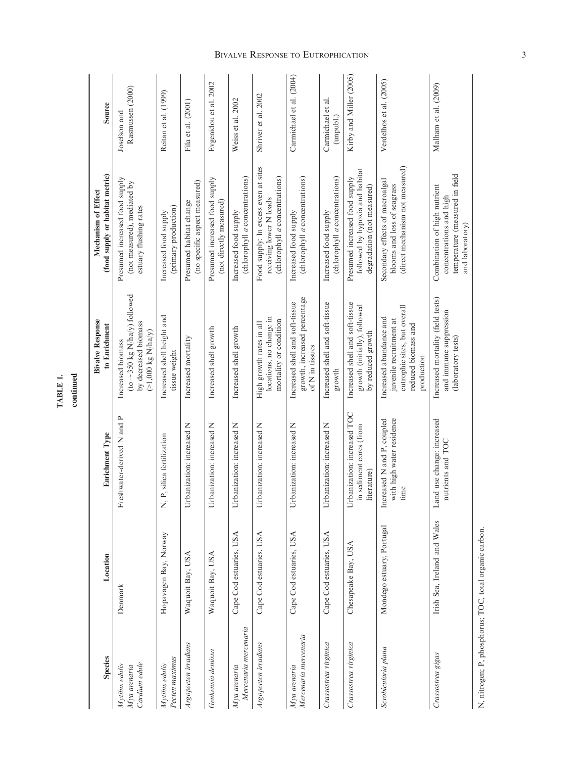| <b>Species</b>                                  | Location                     | Enrichment Type                                                      | <b>Bivalve Response</b><br>to Enrichment                                                                                  | (food supply or habitat metric)<br>Mechanism of Effect                                                       | Source                           |
|-------------------------------------------------|------------------------------|----------------------------------------------------------------------|---------------------------------------------------------------------------------------------------------------------------|--------------------------------------------------------------------------------------------------------------|----------------------------------|
| Cardium edule<br>Mytilus edulis<br>Mya arenaria | Denmark                      | Freshwater-derived N and P                                           | (to $\sim$ 350 kg N/ha/y) followed<br>by decreased biomass<br>$(>1,000~\mathrm{kg}~\mathrm{N/ha/y})$<br>Increased biomass | Presumed increased food supply<br>(not measured), mediated by<br>estuary flushing rates                      | Rasmussen (2000)<br>Josefson and |
| Pecten maximus<br>Mytilus edulis                | Hopavagen Bay, Norway        | N, P, silica fertilization                                           | Increased shell height and<br>tissue weight                                                                               | (primary production)<br>Increased food supply                                                                | Reitan et al. (1999)             |
| Argopecten irradians                            | Waquoit Bay, USA             | Urbanization: increased N                                            | Increased mortality                                                                                                       | (no specific aspect measured)<br>Presumed habitat change                                                     | Fila et al. (2001)               |
| Geukensia demissa                               | Waquoit Bay, USA             | Urbanization: increased N                                            | Increased shell growth                                                                                                    | Presumed increased food supply<br>(not directly measured)                                                    | Evgenidou et al. 2002            |
| Mercenaria mercenaria<br>Mya arenaria           | Cape Cod estuaries, USA      | Urbanization: increased N                                            | Increased shell growth                                                                                                    | (chlorophyll a concentrations)<br>Increased food supply                                                      | Weiss et al. 2002                |
| Argopecten irradians                            | Cape Cod estuaries, USA      | Urbanization: increased N                                            | locations, no change in<br>mortality or condition<br>High growth rates in all                                             | Food supply: In excess even at sites<br>(chlorophyll a concentrations)<br>receiving lower N loads            | Shriver et al. 2002              |
| Mercenaria mercenaria<br>Mya arenaria           | Cape Cod estuaries, USA      | Urbanization: increased N                                            | growth, increased percentage<br>Increased shell and soft-tissue<br>of N in tissues                                        | (chlorophyll a concentrations)<br>Increased food supply                                                      | Carmichael et al. (2004)         |
| Crassostrea virginica                           | Cape Cod estuaries, USA      | Urbanization: increased N                                            | Increased shell and soft-tissue<br>growth                                                                                 | (chlorophyll a concentrations)<br>Increased food supply                                                      | Carmichael et al.<br>(unpubl.)   |
| Crassostrea virginica                           | Chesapeake Bay, USA          | Urbanization: increased TOC<br>in sediment cores (from<br>iterature) | Increased shell and soft-tissue<br>growth (initially), followed<br>by reduced growth                                      | followed by hypoxia and habitat<br>Presumed increased food supply<br>degradation (not measured)              | Kirby and Miller (2005)          |
| Scrobicularia plana                             | Mondego estuary, Portugal    | Increased N and P, coupled<br>with high water residence<br>time      | eutrophic sites, but overall<br>Increased abundance and<br>juvenile recruitment at<br>reduced biomass and<br>production   | (direct mechanism not measured)<br>Secondary effects of macroalgal<br>blooms and loss of seagrass            | Verdelhos et al. (2005)          |
| Crassostrea gigas                               | Irish Sea, Ireland and Wales | Land use change: increased<br>nutrients and TOC                      | Increased mortality (field tests)<br>and immune suppression<br>(laboratory tests)                                         | temperature (measured in field<br>Combination of high nutrient<br>concentrations and high<br>and laboratory) | Malham et al. (2009)             |

TABLE 1. TABLE 1.

continued continued

# BIVALVE RESPONSE TO EUTROPHICATION

3

N, nitrogen; P, phosphorus; TOC, total organic carbon. N, nitrogen; P, phosphorus; TOC, total organic carbon.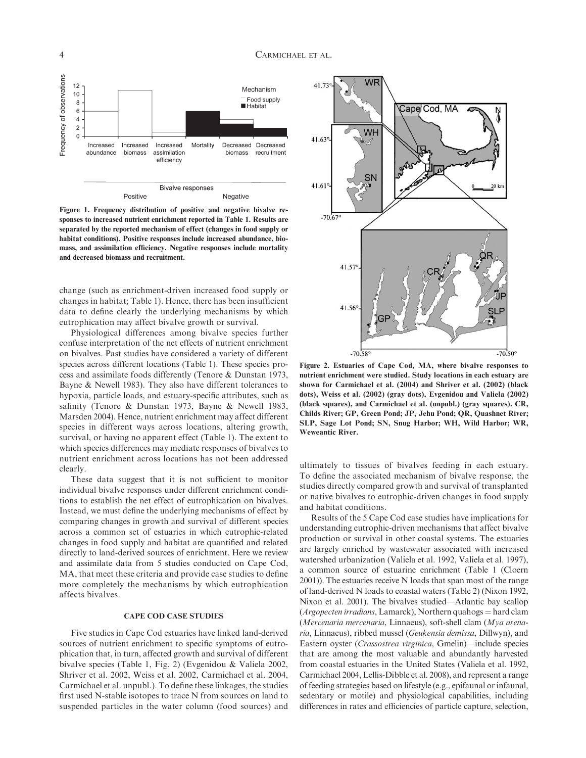

Figure 1. Frequency distribution of positive and negative bivalve responses to increased nutrient enrichment reported in Table 1. Results are separated by the reported mechanism of effect (changes in food supply or habitat conditions). Positive responses include increased abundance, biomass, and assimilation efficiency. Negative responses include mortality and decreased biomass and recruitment.

change (such as enrichment-driven increased food supply or changes in habitat; Table 1). Hence, there has been insufficient data to define clearly the underlying mechanisms by which eutrophication may affect bivalve growth or survival.

Physiological differences among bivalve species further confuse interpretation of the net effects of nutrient enrichment on bivalves. Past studies have considered a variety of different species across different locations (Table 1). These species process and assimilate foods differently (Tenore & Dunstan 1973, Bayne & Newell 1983). They also have different tolerances to hypoxia, particle loads, and estuary-specific attributes, such as salinity (Tenore & Dunstan 1973, Bayne & Newell 1983, Marsden 2004). Hence, nutrient enrichment may affect different species in different ways across locations, altering growth, survival, or having no apparent effect (Table 1). The extent to which species differences may mediate responses of bivalves to nutrient enrichment across locations has not been addressed clearly.

These data suggest that it is not sufficient to monitor individual bivalve responses under different enrichment conditions to establish the net effect of eutrophication on bivalves. Instead, we must define the underlying mechanisms of effect by comparing changes in growth and survival of different species across a common set of estuaries in which eutrophic-related changes in food supply and habitat are quantified and related directly to land-derived sources of enrichment. Here we review and assimilate data from 5 studies conducted on Cape Cod, MA, that meet these criteria and provide case studies to define more completely the mechanisms by which eutrophication affects bivalves.

## CAPE COD CASE STUDIES

Five studies in Cape Cod estuaries have linked land-derived sources of nutrient enrichment to specific symptoms of eutrophication that, in turn, affected growth and survival of different bivalve species (Table 1, Fig. 2) (Evgenidou & Valiela 2002, Shriver et al. 2002, Weiss et al. 2002, Carmichael et al. 2004, Carmichael et al. unpubl.). To define these linkages, the studies first used N-stable isotopes to trace N from sources on land to suspended particles in the water column (food sources) and



Figure 2. Estuaries of Cape Cod, MA, where bivalve responses to nutrient enrichment were studied. Study locations in each estuary are shown for Carmichael et al. (2004) and Shriver et al. (2002) (black dots), Weiss et al. (2002) (gray dots), Evgenidou and Valiela (2002) (black squares), and Carmichael et al. (unpubl.) (gray squares). CR, Childs River; GP, Green Pond; JP, Jehu Pond; QR, Quashnet River; SLP, Sage Lot Pond; SN, Snug Harbor; WH, Wild Harbor; WR, Weweantic River.

ultimately to tissues of bivalves feeding in each estuary. To define the associated mechanism of bivalve response, the studies directly compared growth and survival of transplanted or native bivalves to eutrophic-driven changes in food supply and habitat conditions.

Results of the 5 Cape Cod case studies have implications for understanding eutrophic-driven mechanisms that affect bivalve production or survival in other coastal systems. The estuaries are largely enriched by wastewater associated with increased watershed urbanization (Valiela et al. 1992, Valiela et al. 1997), a common source of estuarine enrichment (Table 1 (Cloern 2001)). The estuaries receive N loads that span most of the range of land-derived N loads to coastal waters (Table 2) (Nixon 1992, Nixon et al. 2001). The bivalves studied—Atlantic bay scallop  $(Argopecten irradians, Lamarck), Northern quahogs = hard cham$ (Mercenaria mercenaria, Linnaeus), soft-shell clam (Mya arenaria, Linnaeus), ribbed mussel (Geukensia demissa, Dillwyn), and Eastern oyster (Crassostrea virginica, Gmelin)—include species that are among the most valuable and abundantly harvested from coastal estuaries in the United States (Valiela et al. 1992, Carmichael 2004, Lellis-Dibble et al. 2008), and represent a range of feeding strategies based on lifestyle (e.g., epifaunal or infaunal, sedentary or motile) and physiological capabilities, including differences in rates and efficiencies of particle capture, selection,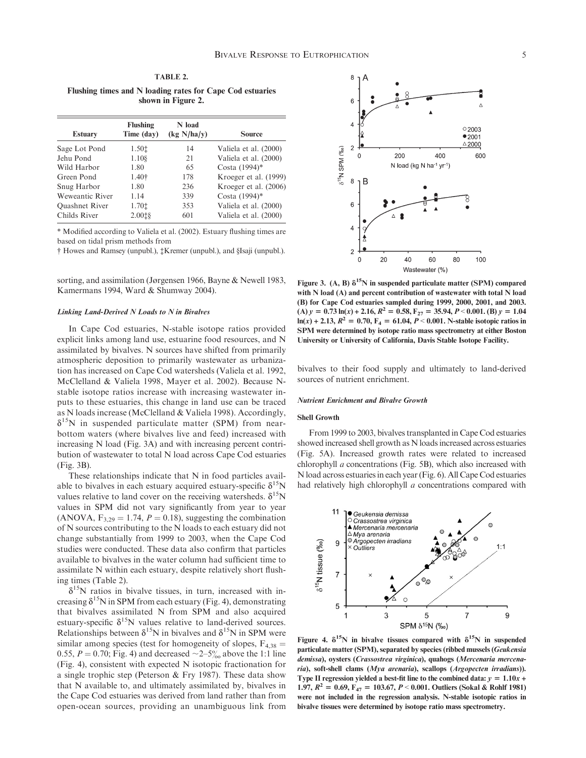TABLE 2. Flushing times and N loading rates for Cape Cod estuaries shown in Figure 2.

| <b>Estuary</b>        | Flushing<br>Time (day) | N load<br>(kg N/ha/y) | <b>Source</b>         |
|-----------------------|------------------------|-----------------------|-----------------------|
| Sage Lot Pond         | 1.501                  | 14                    | Valiela et al. (2000) |
| Jehu Pond             | 1.108                  | 21                    | Valiela et al. (2000) |
| Wild Harbor           | 1.80                   | 65                    | Costa (1994)*         |
| Green Pond            | 1.40 <sup>†</sup>      | 178                   | Kroeger et al. (1999) |
| Snug Harbor           | 1.80                   | 236                   | Kroeger et al. (2006) |
| Weweantic River       | 1.14                   | 339                   | Costa (1994)*         |
| <b>Quashnet River</b> | 1.701                  | 353                   | Valiela et al. (2000) |
| Childs River          | 2.0018                 | 601                   | Valiela et al. (2000) |
|                       |                        |                       |                       |

\* Modified according to Valiela et al. (2002). Estuary flushing times are based on tidal prism methods from

† Howes and Ramsey (unpubl.), ‡Kremer (unpubl.), and §Isaji (unpubl.).

sorting, and assimilation (Jørgensen 1966, Bayne & Newell 1983, Kamermans 1994, Ward & Shumway 2004).

#### Linking Land-Derived N Loads to N in Bivalves

In Cape Cod estuaries, N-stable isotope ratios provided explicit links among land use, estuarine food resources, and N assimilated by bivalves. N sources have shifted from primarily atmospheric deposition to primarily wastewater as urbanization has increased on Cape Cod watersheds (Valiela et al. 1992, McClelland & Valiela 1998, Mayer et al. 2002). Because Nstable isotope ratios increase with increasing wastewater inputs to these estuaries, this change in land use can be traced as N loads increase (McClelland & Valiela 1998). Accordingly,  $\delta^{15}$ N in suspended particulate matter (SPM) from nearbottom waters (where bivalves live and feed) increased with increasing N load (Fig. 3A) and with increasing percent contribution of wastewater to total N load across Cape Cod estuaries (Fig. 3B).

These relationships indicate that N in food particles available to bivalves in each estuary acquired estuary-specific  $\delta^{15}N$ values relative to land cover on the receiving watersheds.  $\delta^{15}N$ values in SPM did not vary significantly from year to year (ANOVA,  $F_3$ <sub>29</sub> = 1.74,  $P = 0.18$ ), suggesting the combination of N sources contributing to the N loads to each estuary did not change substantially from 1999 to 2003, when the Cape Cod studies were conducted. These data also confirm that particles available to bivalves in the water column had sufficient time to assimilate N within each estuary, despite relatively short flushing times (Table 2).

 $\delta^{15}$ N ratios in bivalve tissues, in turn, increased with increasing  $\delta^{15}N$  in SPM from each estuary (Fig. 4), demonstrating that bivalves assimilated N from SPM and also acquired estuary-specific  $\delta^{15}N$  values relative to land-derived sources. Relationships between  $\delta^{15}N$  in bivalves and  $\delta^{15}N$  in SPM were similar among species (test for homogeneity of slopes,  $F_{4,38}$  = 0.55,  $P = 0.70$ ; Fig. 4) and decreased  $\sim 2-5\%$  above the 1:1 line (Fig. 4), consistent with expected N isotopic fractionation for a single trophic step (Peterson & Fry 1987). These data show that N available to, and ultimately assimilated by, bivalves in the Cape Cod estuaries was derived from land rather than from open-ocean sources, providing an unambiguous link from



Figure 3. (A, B)  $\delta^{15}N$  in suspended particulate matter (SPM) compared with N load (A) and percent contribution of wastewater with total N load (B) for Cape Cod estuaries sampled during 1999, 2000, 2001, and 2003. (A)  $y = 0.73 \ln(x) + 2.16$ ,  $R^2 = 0.58$ ,  $F_{27} = 35.94$ ,  $P < 0.001$ . (B)  $y = 1.04$  $ln(x) + 2.13$ ,  $R^2 = 0.70$ ,  $F_4 = 61.04$ ,  $P < 0.001$ . N-stable isotopic ratios in SPM were determined by isotope ratio mass spectrometry at either Boston University or University of California, Davis Stable Isotope Facility.

bivalves to their food supply and ultimately to land-derived sources of nutrient enrichment.

#### Nutrient Enrichment and Bivalve Growth

#### Shell Growth

From 1999 to 2003, bivalves transplanted in Cape Cod estuaries showed increased shell growth as N loads increased across estuaries (Fig. 5A). Increased growth rates were related to increased chlorophyll a concentrations (Fig. 5B), which also increased with N load across estuaries in each year (Fig. 6). All Cape Cod estuaries had relatively high chlorophyll a concentrations compared with



Figure 4.  $\delta^{15}N$  in bivalve tissues compared with  $\delta^{15}N$  in suspended particulate matter (SPM), separated by species (ribbed mussels (Geukensia demissa), oysters (Crassostrea virginica), quahogs (Mercenaria mercenaria), soft-shell clams (Mya arenaria), scallops (Argopecten irradians)). Type II regression yielded a best-fit line to the combined data:  $y = 1.10x +$ 1.97,  $R^2 = 0.69$ ,  $F_{47} = 103.67$ ,  $P < 0.001$ . Outliers (Sokal & Rohlf 1981) were not included in the regression analysis. N-stable isotopic ratios in bivalve tissues were determined by isotope ratio mass spectrometry.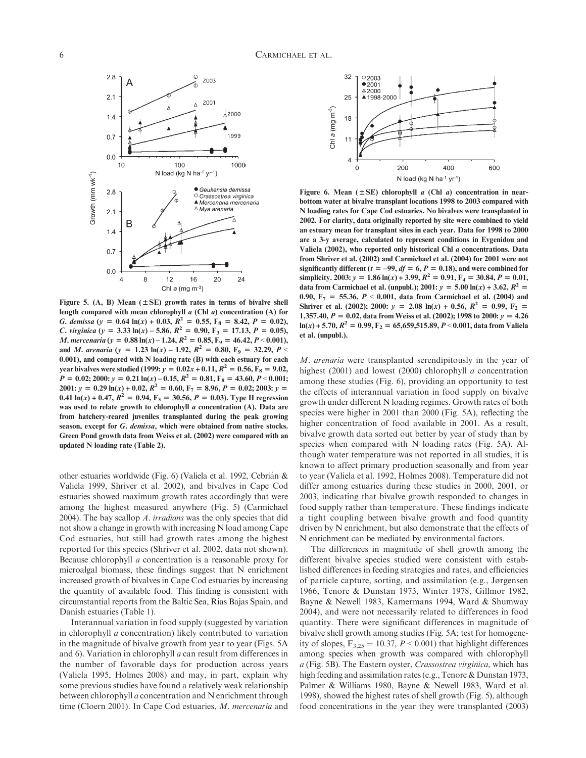

Figure 5. (A, B) Mean  $(\pm SE)$  growth rates in terms of bivalve shell length compared with mean chlorophyll  $a$  (Chl  $a$ ) concentration (A) for G. demissa (y = 0.64 ln(x) + 0.03,  $R^2 = 0.55$ ,  $F_8 = 8.42$ ,  $P = 0.02$ ), C. virginica (y = 3.33 ln(x) – 5.86,  $R^2 = 0.90$ , F<sub>3</sub> = 17.13, P = 0.05), *M. mercenaria* (y =  $0.88 \ln(x) - 1.24$ ,  $R^2 = 0.85$ , F<sub>9</sub> = 46.42, P < 0.001), and *M. arenaria* (y = 1.23 ln(x) – 1.92,  $R^2 = 0.80$ ,  $F_9 = 32.29$ ,  $P <$ 0.001), and compared with N loading rate (B) with each estuary for each year bivalves were studied (1999:  $y = 0.02x + 0.11$ ,  $R^2 = 0.56$ ,  $F_8 = 9.02$ ,  $P = 0.02; 2000: y = 0.21 \ln(x) - 0.15, R^2 = 0.81, F_8 = 43.60, P < 0.001;$  $2001: y = 0.29 \ln(x) + 0.02$ ,  $R^2 = 0.60$ ,  $F_7 = 8.96$ ,  $P = 0.02$ ;  $2003: y =$ 0.41  $ln(x) + 0.47$ ,  $R^2 = 0.94$ ,  $F_3 = 30.56$ ,  $P = 0.03$ ). Type II regression was used to relate growth to chlorophyll a concentration (A). Data are from hatchery-reared juveniles transplanted during the peak growing season, except for G. demissa, which were obtained from native stocks. Green Pond growth data from Weiss et al. (2002) were compared with an updated N loading rate (Table 2).

other estuaries worldwide (Fig. 6) (Valiela et al. 1992, Cebrián & Valiela 1999, Shriver et al. 2002), and bivalves in Cape Cod estuaries showed maximum growth rates accordingly that were among the highest measured anywhere (Fig. 5) (Carmichael 2004). The bay scallop A. irradians was the only species that did not show a change in growth with increasing N load among Cape Cod estuaries, but still had growth rates among the highest reported for this species (Shriver et al. 2002, data not shown). Because chlorophyll a concentration is a reasonable proxy for microalgal biomass, these findings suggest that N enrichment increased growth of bivalves in Cape Cod estuaries by increasing the quantity of available food. This finding is consistent with circumstantial reports from the Baltic Sea, Rı´as Bajas Spain, and Danish estuaries (Table 1).

Interannual variation in food supply (suggested by variation in chlorophyll a concentration) likely contributed to variation in the magnitude of bivalve growth from year to year (Figs. 5A and 6). Variation in chlorophyll a can result from differences in the number of favorable days for production across years (Valiela 1995, Holmes 2008) and may, in part, explain why some previous studies have found a relatively weak relationship between chlorophyll a concentration and N enrichment through time (Cloern 2001). In Cape Cod estuaries, M. mercenaria and



Figure 6. Mean ( $\pm$ SE) chlorophyll a (Chl a) concentration in nearbottom water at bivalve transplant locations 1998 to 2003 compared with N loading rates for Cape Cod estuaries. No bivalves were transplanted in 2002. For clarity, data originally reported by site were combined to yield an estuary mean for transplant sites in each year. Data for 1998 to 2000 are a 3-y average, calculated to represent conditions in Evgenidou and Valiela (2002), who reported only historical Chl a concentrations. Data from Shriver et al. (2002) and Carmichael et al. (2004) for 2001 were not significantly different ( $t = -99$ ,  $df = 6$ ,  $P = 0.18$ ), and were combined for simplicity. 2003:  $y = 1.86 \ln(x) + 3.99$ ,  $R^2 = 0.91$ ,  $F_4 = 30.84$ ,  $P = 0.01$ , data from Carmichael et al. (unpubl.); 2001:  $y = 5.00 \ln(x) + 3.62$ ,  $R^2 =$ 0.90,  $F_7 = 55.36, P < 0.001$ , data from Carmichael et al. (2004) and Shriver et al. (2002); 2000:  $y = 2.08 \ln(x) + 0.56$ ,  $R^2 = 0.99$ ,  $F_2 =$ 1,357.40,  $P = 0.02$ , data from Weiss et al. (2002); 1998 to 2000:  $y = 4.26$  $ln(x) + 5.70$ ,  $R^2 = 0.99$ ,  $F_2 = 65,659,515.89$ ,  $P < 0.001$ , data from Valiela et al. (unpubl.).

M. arenaria were transplanted serendipitously in the year of highest (2001) and lowest (2000) chlorophyll *a* concentration among these studies (Fig. 6), providing an opportunity to test the effects of interannual variation in food supply on bivalve growth under different N loading regimes. Growth rates of both species were higher in 2001 than 2000 (Fig. 5A), reflecting the higher concentration of food available in 2001. As a result, bivalve growth data sorted out better by year of study than by species when compared with N loading rates (Fig. 5A). Although water temperature was not reported in all studies, it is known to affect primary production seasonally and from year to year (Valiela et al. 1992, Holmes 2008). Temperature did not differ among estuaries during these studies in 2000, 2001, or 2003, indicating that bivalve growth responded to changes in food supply rather than temperature. These findings indicate a tight coupling between bivalve growth and food quantity driven by N enrichment, but also demonstrate that the effects of N enrichment can be mediated by environmental factors.

The differences in magnitude of shell growth among the different bivalve species studied were consistent with established differences in feeding strategies and rates, and efficiencies of particle capture, sorting, and assimilation (e.g., Jørgensen 1966, Tenore & Dunstan 1973, Winter 1978, Gillmor 1982, Bayne & Newell 1983, Kamermans 1994, Ward & Shumway 2004), and were not necessarily related to differences in food quantity. There were significant differences in magnitude of bivalve shell growth among studies (Fig. 5A; test for homogeneity of slopes,  $F_{3,25} = 10.37$ ,  $P < 0.001$ ) that highlight differences among species when growth was compared with chlorophyll a (Fig. 5B). The Eastern oyster, Crassostrea virginica, which has high feeding and assimilation rates (e.g., Tenore & Dunstan 1973, Palmer & Williams 1980, Bayne & Newell 1983, Ward et al. 1998), showed the highest rates of shell growth (Fig. 5), although food concentrations in the year they were transplanted (2003)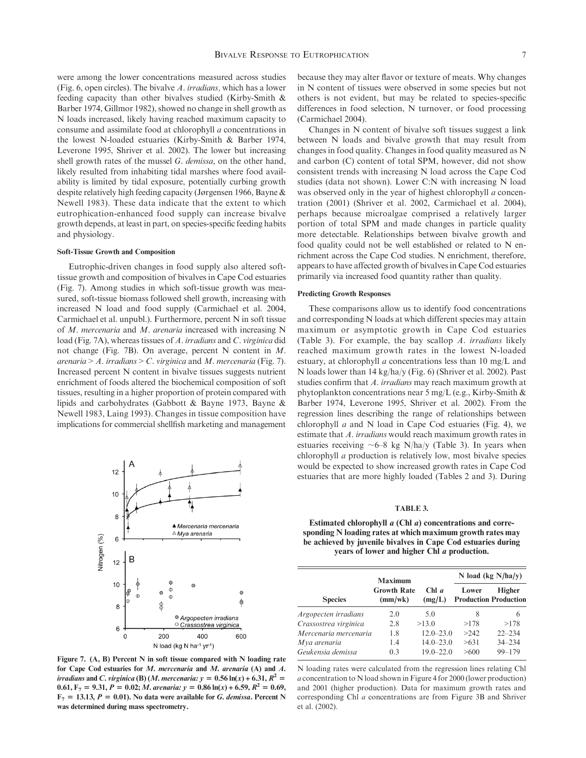were among the lower concentrations measured across studies (Fig. 6, open circles). The bivalve A. irradians, which has a lower feeding capacity than other bivalves studied (Kirby-Smith & Barber 1974, Gillmor 1982), showed no change in shell growth as N loads increased, likely having reached maximum capacity to consume and assimilate food at chlorophyll a concentrations in the lowest N-loaded estuaries (Kirby-Smith & Barber 1974, Leverone 1995, Shriver et al. 2002). The lower but increasing shell growth rates of the mussel G. demissa, on the other hand, likely resulted from inhabiting tidal marshes where food availability is limited by tidal exposure, potentially curbing growth despite relatively high feeding capacity (Jørgensen 1966, Bayne & Newell 1983). These data indicate that the extent to which eutrophication-enhanced food supply can increase bivalve growth depends, at least in part, on species-specific feeding habits and physiology.

#### Soft-Tissue Growth and Composition

Eutrophic-driven changes in food supply also altered softtissue growth and composition of bivalves in Cape Cod estuaries (Fig. 7). Among studies in which soft-tissue growth was measured, soft-tissue biomass followed shell growth, increasing with increased N load and food supply (Carmichael et al. 2004, Carmichael et al. unpubl.). Furthermore, percent N in soft tissue of M. mercenaria and M. arenaria increased with increasing N load (Fig. 7A), whereas tissues of A. irradians and C. virginica did not change (Fig. 7B). On average, percent N content in M. arenaria > A. irradians > C. virginica and M. mercenaria (Fig. 7). Increased percent N content in bivalve tissues suggests nutrient enrichment of foods altered the biochemical composition of soft tissues, resulting in a higher proportion of protein compared with lipids and carbohydrates (Gabbott & Bayne 1973, Bayne & Newell 1983, Laing 1993). Changes in tissue composition have implications for commercial shellfish marketing and management



Figure 7. (A, B) Percent N in soft tissue compared with N loading rate for Cape Cod estuaries for M. mercenaria and M. arenaria (A) and A. irradians and C. virginica (B) (M. mercenaria:  $y = 0.56 \ln(x) + 6.31$ ,  $R^2 =$ 0.61,  $F_7 = 9.31$ ,  $P = 0.02$ ; *M. arenaria:*  $y = 0.86 \ln(x) + 6.59$ ,  $R^2 = 0.69$ ,  $F_7 = 13.13, P = 0.01$ ). No data were available for G. demissa. Percent N was determined during mass spectrometry.

because they may alter flavor or texture of meats. Why changes in N content of tissues were observed in some species but not others is not evident, but may be related to species-specific differences in food selection, N turnover, or food processing (Carmichael 2004).

Changes in N content of bivalve soft tissues suggest a link between N loads and bivalve growth that may result from changes in food quality. Changes in food quality measured as N and carbon (C) content of total SPM, however, did not show consistent trends with increasing N load across the Cape Cod studies (data not shown). Lower C:N with increasing N load was observed only in the year of highest chlorophyll *a* concentration (2001) (Shriver et al. 2002, Carmichael et al. 2004), perhaps because microalgae comprised a relatively larger portion of total SPM and made changes in particle quality more detectable. Relationships between bivalve growth and food quality could not be well established or related to N enrichment across the Cape Cod studies. N enrichment, therefore, appears to have affected growth of bivalves in Cape Cod estuaries primarily via increased food quantity rather than quality.

## Predicting Growth Responses

These comparisons allow us to identify food concentrations and corresponding N loads at which different species may attain maximum or asymptotic growth in Cape Cod estuaries (Table 3). For example, the bay scallop A. irradians likely reached maximum growth rates in the lowest N-loaded estuary, at chlorophyll a concentrations less than 10 mg/L and N loads lower than 14 kg/ha/y (Fig. 6) (Shriver et al. 2002). Past studies confirm that A. irradians may reach maximum growth at phytoplankton concentrations near 5 mg/L (e.g., Kirby-Smith & Barber 1974, Leverone 1995, Shriver et al. 2002). From the regression lines describing the range of relationships between chlorophyll  $a$  and N load in Cape Cod estuaries (Fig. 4), we estimate that A. irradians would reach maximum growth rates in estuaries receiving  $\sim 6-8$  kg N/ha/y (Table 3). In years when chlorophyll a production is relatively low, most bivalve species would be expected to show increased growth rates in Cape Cod estuaries that are more highly loaded (Tables 2 and 3). During

#### TABLE 3.

Estimated chlorophyll a (Chl a) concentrations and corresponding N loading rates at which maximum growth rates may be achieved by juvenile bivalves in Cape Cod estuaries during years of lower and higher Chl a production.

|                       | <b>Maximum</b>                |                 |       | N load (kg $N/ha/y$ )                  |
|-----------------------|-------------------------------|-----------------|-------|----------------------------------------|
| <b>Species</b>        | <b>Growth Rate</b><br>(mm/wk) | Chl a<br>(mg/L) | Lower | Higher<br><b>Production Production</b> |
| Argopecten irradians  | 2.0                           | 5.0             | 8     | 6                                      |
| Crassostrea virginica | 2.8                           | >13.0           | >178  | >178                                   |
| Mercenaria mercenaria | 1.8                           | $12.0 - 23.0$   | >242  | $22 - 234$                             |
| Mya arenaria          | 1.4                           | $14.0 - 23.0$   | >631  | $34 - 234$                             |
| Geukensia demissa     | 0.3                           | $19.0 - 22.0$   | >600  | $99 - 179$                             |

N loading rates were calculated from the regression lines relating Chl a concentration to N load shown in Figure 4 for 2000 (lower production) and 2001 (higher production). Data for maximum growth rates and corresponding Chl a concentrations are from Figure 3B and Shriver et al. (2002).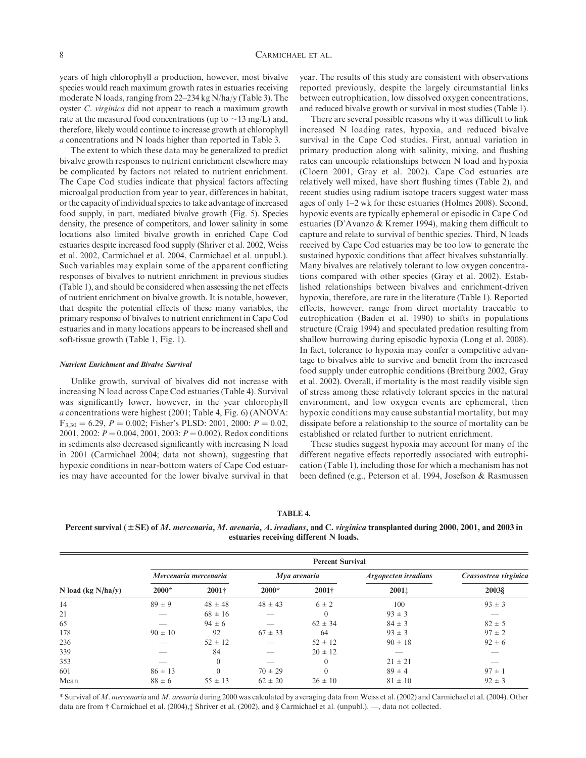years of high chlorophyll a production, however, most bivalve species would reach maximum growth rates in estuaries receiving moderate N loads, ranging from 22–234 kg N/ha/y (Table 3). The oyster C. virginica did not appear to reach a maximum growth rate at the measured food concentrations (up to  $\sim$ 13 mg/L) and, therefore, likely would continue to increase growth at chlorophyll a concentrations and N loads higher than reported in Table 3.

The extent to which these data may be generalized to predict bivalve growth responses to nutrient enrichment elsewhere may be complicated by factors not related to nutrient enrichment. The Cape Cod studies indicate that physical factors affecting microalgal production from year to year, differences in habitat, or the capacity of individual species to take advantage of increased food supply, in part, mediated bivalve growth (Fig. 5). Species density, the presence of competitors, and lower salinity in some locations also limited bivalve growth in enriched Cape Cod estuaries despite increased food supply (Shriver et al. 2002, Weiss et al. 2002, Carmichael et al. 2004, Carmichael et al. unpubl.). Such variables may explain some of the apparent conflicting responses of bivalves to nutrient enrichment in previous studies (Table 1), and should be considered when assessing the net effects of nutrient enrichment on bivalve growth. It is notable, however, that despite the potential effects of these many variables, the primary response of bivalves to nutrient enrichment in Cape Cod estuaries and in many locations appears to be increased shell and soft-tissue growth (Table 1, Fig. 1).

#### Nutrient Enrichment and Bivalve Survival

Unlike growth, survival of bivalves did not increase with increasing N load across Cape Cod estuaries (Table 4). Survival was significantly lower, however, in the year chlorophyll a concentrations were highest (2001; Table 4, Fig. 6) (ANOVA:  $F_{3,30} = 6.29, P = 0.002$ ; Fisher's PLSD: 2001, 2000:  $P = 0.02$ , 2001, 2002:  $P = 0.004$ , 2001, 2003:  $P = 0.002$ ). Redox conditions in sediments also decreased significantly with increasing N load in 2001 (Carmichael 2004; data not shown), suggesting that hypoxic conditions in near-bottom waters of Cape Cod estuaries may have accounted for the lower bivalve survival in that year. The results of this study are consistent with observations reported previously, despite the largely circumstantial links between eutrophication, low dissolved oxygen concentrations, and reduced bivalve growth or survival in most studies (Table 1).

There are several possible reasons why it was difficult to link increased N loading rates, hypoxia, and reduced bivalve survival in the Cape Cod studies. First, annual variation in primary production along with salinity, mixing, and flushing rates can uncouple relationships between N load and hypoxia (Cloern 2001, Gray et al. 2002). Cape Cod estuaries are relatively well mixed, have short flushing times (Table 2), and recent studies using radium isotope tracers suggest water mass ages of only 1–2 wk for these estuaries (Holmes 2008). Second, hypoxic events are typically ephemeral or episodic in Cape Cod estuaries (D'Avanzo & Kremer 1994), making them difficult to capture and relate to survival of benthic species. Third, N loads received by Cape Cod estuaries may be too low to generate the sustained hypoxic conditions that affect bivalves substantially. Many bivalves are relatively tolerant to low oxygen concentrations compared with other species (Gray et al. 2002). Established relationships between bivalves and enrichment-driven hypoxia, therefore, are rare in the literature (Table 1). Reported effects, however, range from direct mortality traceable to eutrophication (Baden et al. 1990) to shifts in populations structure (Craig 1994) and speculated predation resulting from shallow burrowing during episodic hypoxia (Long et al. 2008). In fact, tolerance to hypoxia may confer a competitive advantage to bivalves able to survive and benefit from the increased food supply under eutrophic conditions (Breitburg 2002, Gray et al. 2002). Overall, if mortality is the most readily visible sign of stress among these relatively tolerant species in the natural environment, and low oxygen events are ephemeral, then hypoxic conditions may cause substantial mortality, but may dissipate before a relationship to the source of mortality can be established or related further to nutrient enrichment.

These studies suggest hypoxia may account for many of the different negative effects reportedly associated with eutrophication (Table 1), including those for which a mechanism has not been defined (e.g., Peterson et al. 1994, Josefson & Rasmussen

#### TABLE 4.

Percent survival  $(\pm SE)$  of M. mercenaria, M. arenaria, A. irradians, and C. virginica transplanted during 2000, 2001, and 2003 in estuaries receiving different N loads.

|                       | <b>Percent Survival</b> |                       |             |               |                      |                       |  |
|-----------------------|-------------------------|-----------------------|-------------|---------------|----------------------|-----------------------|--|
|                       |                         | Mercenaria mercenaria |             | Mya arenaria  | Argopecten irradians | Crassostrea virginica |  |
| N load (kg $N/ha/y$ ) | 2000*                   | 2001+                 | $2000*$     | $2001\dagger$ | 20011                | 2003§                 |  |
| 14                    | $89 \pm 9$              | $48 \pm 48$           | $48 \pm 43$ | $6 \pm 2$     | 100                  | $93 \pm 3$            |  |
| 21                    |                         | $68 \pm 16$           |             | $\Omega$      | $93 \pm 3$           |                       |  |
| 65                    |                         | $94 \pm 6$            |             | $62 \pm 34$   | $84 \pm 3$           | $82 \pm 5$            |  |
| 178                   | $90 \pm 10$             | 92                    | $67 \pm 33$ | 64            | $93 \pm 3$           | $97 \pm 2$            |  |
| 236                   |                         | $52 \pm 12$           |             | $52 \pm 12$   | $90 \pm 18$          | $92 \pm 6$            |  |
| 339                   |                         | 84                    |             | $20 \pm 12$   |                      |                       |  |
| 353                   |                         | $\theta$              |             | $\Omega$      | $21 \pm 21$          |                       |  |
| 601                   | $86 \pm 13$             |                       | $70 \pm 29$ | $\Omega$      | $89 \pm 4$           | $97 \pm 1$            |  |
| Mean                  | $88 \pm 6$              | $55 \pm 13$           | $62 \pm 20$ | $26 \pm 10$   | $81 \pm 10$          | $92 \pm 3$            |  |

\* Survival of M. mercenaria and M. arenaria during 2000 was calculated by averaging data from Weiss et al. (2002) and Carmichael et al. (2004). Other data are from † Carmichael et al. (2004),‡ Shriver et al. (2002), and § Carmichael et al. (unpubl.). —, data not collected.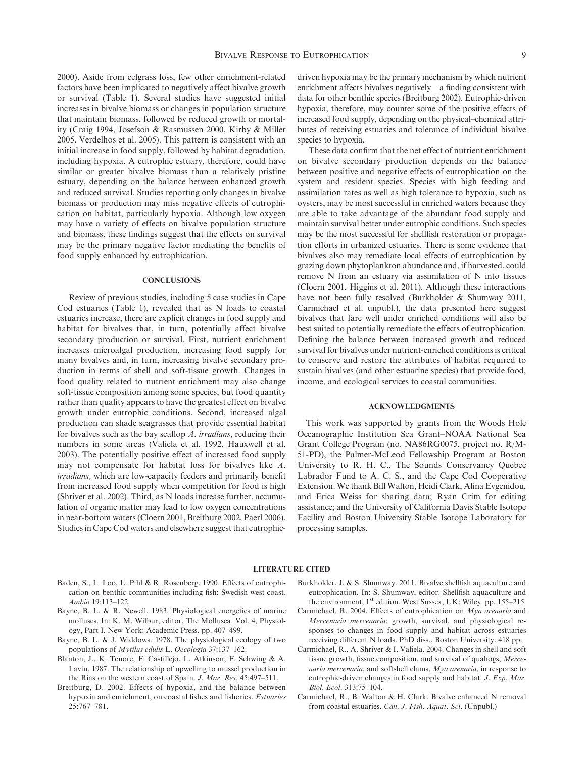2000). Aside from eelgrass loss, few other enrichment-related factors have been implicated to negatively affect bivalve growth or survival (Table 1). Several studies have suggested initial increases in bivalve biomass or changes in population structure that maintain biomass, followed by reduced growth or mortality (Craig 1994, Josefson & Rasmussen 2000, Kirby & Miller 2005. Verdelhos et al. 2005). This pattern is consistent with an initial increase in food supply, followed by habitat degradation, including hypoxia. A eutrophic estuary, therefore, could have similar or greater bivalve biomass than a relatively pristine estuary, depending on the balance between enhanced growth and reduced survival. Studies reporting only changes in bivalve biomass or production may miss negative effects of eutrophication on habitat, particularly hypoxia. Although low oxygen may have a variety of effects on bivalve population structure and biomass, these findings suggest that the effects on survival may be the primary negative factor mediating the benefits of food supply enhanced by eutrophication.

#### **CONCLUSIONS**

Review of previous studies, including 5 case studies in Cape Cod estuaries (Table 1), revealed that as N loads to coastal estuaries increase, there are explicit changes in food supply and habitat for bivalves that, in turn, potentially affect bivalve secondary production or survival. First, nutrient enrichment increases microalgal production, increasing food supply for many bivalves and, in turn, increasing bivalve secondary production in terms of shell and soft-tissue growth. Changes in food quality related to nutrient enrichment may also change soft-tissue composition among some species, but food quantity rather than quality appears to have the greatest effect on bivalve growth under eutrophic conditions. Second, increased algal production can shade seagrasses that provide essential habitat for bivalves such as the bay scallop A. irradians, reducing their numbers in some areas (Valiela et al. 1992, Hauxwell et al. 2003). The potentially positive effect of increased food supply may not compensate for habitat loss for bivalves like A. irradians, which are low-capacity feeders and primarily benefit from increased food supply when competition for food is high (Shriver et al. 2002). Third, as N loads increase further, accumulation of organic matter may lead to low oxygen concentrations in near-bottom waters (Cloern 2001, Breitburg 2002, Paerl 2006). Studies in Cape Cod waters and elsewhere suggest that eutrophicdriven hypoxia may be the primary mechanism by which nutrient enrichment affects bivalves negatively—a finding consistent with data for other benthic species (Breitburg 2002). Eutrophic-driven hypoxia, therefore, may counter some of the positive effects of increased food supply, depending on the physical–chemical attributes of receiving estuaries and tolerance of individual bivalve species to hypoxia.

These data confirm that the net effect of nutrient enrichment on bivalve secondary production depends on the balance between positive and negative effects of eutrophication on the system and resident species. Species with high feeding and assimilation rates as well as high tolerance to hypoxia, such as oysters, may be most successful in enriched waters because they are able to take advantage of the abundant food supply and maintain survival better under eutrophic conditions. Such species may be the most successful for shellfish restoration or propagation efforts in urbanized estuaries. There is some evidence that bivalves also may remediate local effects of eutrophication by grazing down phytoplankton abundance and, if harvested, could remove N from an estuary via assimilation of N into tissues (Cloern 2001, Higgins et al. 2011). Although these interactions have not been fully resolved (Burkholder & Shumway 2011, Carmichael et al. unpubl.), the data presented here suggest bivalves that fare well under enriched conditions will also be best suited to potentially remediate the effects of eutrophication. Defining the balance between increased growth and reduced survival for bivalves under nutrient-enriched conditions is critical to conserve and restore the attributes of habitat required to sustain bivalves (and other estuarine species) that provide food, income, and ecological services to coastal communities.

#### ACKNOWLEDGMENTS

This work was supported by grants from the Woods Hole Oceanographic Institution Sea Grant–NOAA National Sea Grant College Program (no. NA86RG0075, project no. R/M-51-PD), the Palmer-McLeod Fellowship Program at Boston University to R. H. C., The Sounds Conservancy Quebec Labrador Fund to A. C. S., and the Cape Cod Cooperative Extension. We thank Bill Walton, Heidi Clark, Alina Evgenidou, and Erica Weiss for sharing data; Ryan Crim for editing assistance; and the University of California Davis Stable Isotope Facility and Boston University Stable Isotope Laboratory for processing samples.

## LITERATURE CITED

- Baden, S., L. Loo, L. Pihl & R. Rosenberg. 1990. Effects of eutrophication on benthic communities including fish: Swedish west coast. Ambio 19:113–122.
- Bayne, B. L. & R. Newell. 1983. Physiological energetics of marine molluscs. In: K. M. Wilbur, editor. The Mollusca. Vol. 4, Physiology, Part I. New York: Academic Press. pp. 407–499.
- Bayne, B. L. & J. Widdows. 1978. The physiological ecology of two populations of Mytilus edulis L. Oecologia 37:137–162.
- Blanton, J., K. Tenore, F. Castillejo, L. Atkinson, F. Schwing & A. Lavin. 1987. The relationship of upwelling to mussel production in the Rias on the western coast of Spain. J. Mar. Res. 45:497–511.
- Breitburg, D. 2002. Effects of hypoxia, and the balance between hypoxia and enrichment, on coastal fishes and fisheries. Estuaries 25:767–781.
- Burkholder, J. & S. Shumway. 2011. Bivalve shellfish aquaculture and eutrophication. In: S. Shumway, editor. Shellfish aquaculture and the environment, 1<sup>st</sup> edition. West Sussex, UK: Wiley. pp. 155–215.
- Carmichael, R. 2004. Effects of eutrophication on Mya arenaria and Mercenaria mercenaria: growth, survival, and physiological responses to changes in food supply and habitat across estuaries receiving different N loads. PhD diss., Boston University. 418 pp.
- Carmichael, R., A. Shriver & I. Valiela. 2004. Changes in shell and soft tissue growth, tissue composition, and survival of quahogs, Mercenaria mercenaria, and softshell clams, Mya arenaria, in response to eutrophic-driven changes in food supply and habitat. J. Exp. Mar. Biol. Ecol. 313:75–104.
- Carmichael, R., B. Walton & H. Clark. Bivalve enhanced N removal from coastal estuaries. Can. J. Fish. Aquat. Sci. (Unpubl.)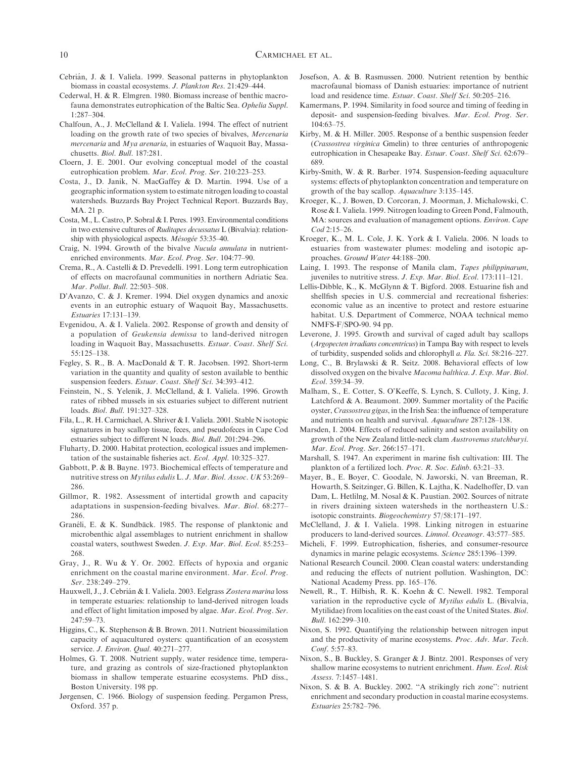- Cebria´n, J. & I. Valiela. 1999. Seasonal patterns in phytoplankton biomass in coastal ecosystems. J. Plankton Res. 21:429–444.
- Cederwal, H. & R. Elmgren. 1980. Biomass increase of benthic macrofauna demonstrates eutrophication of the Baltic Sea. Ophelia Suppl. 1:287–304.
- Chalfoun, A., J. McClelland & I. Valiela. 1994. The effect of nutrient loading on the growth rate of two species of bivalves, Mercenaria mercenaria and Mya arenaria, in estuaries of Waquoit Bay, Massachusetts. Biol. Bull. 187:281.
- Cloern, J. E. 2001. Our evolving conceptual model of the coastal eutrophication problem. Mar. Ecol. Prog. Ser. 210:223–253.
- Costa, J., D. Janik, N. MacGaffey & D. Martin. 1994. Use of a geographic information system to estimate nitrogen loading to coastal watersheds. Buzzards Bay Project Technical Report. Buzzards Bay, MA. 21 p.
- Costa, M., L. Castro, P. Sobral & I. Peres. 1993. Environmental conditions in two extensive cultures of Ruditapes decussatus L (Bivalvia): relationship with physiological aspects. Mésogée 53:35–40.
- Craig, N. 1994. Growth of the bivalve Nucula annulata in nutrientenriched environments. Mar. Ecol. Prog. Ser. 104:77–90.
- Crema, R., A. Castelli & D. Prevedelli. 1991. Long term eutrophication of effects on macrofaunal communities in northern Adriatic Sea. Mar. Pollut. Bull. 22:503–508.
- D'Avanzo, C. & J. Kremer. 1994. Diel oxygen dynamics and anoxic events in an eutrophic estuary of Waquoit Bay, Massachusetts. Estuaries 17:131–139.
- Evgenidou, A. & I. Valiela. 2002. Response of growth and density of a population of Geukensia demissa to land-derived nitrogen loading in Waquoit Bay, Massachusetts. Estuar. Coast. Shelf Sci. 55:125–138.
- Fegley, S. R., B. A. MacDonald & T. R. Jacobsen. 1992. Short-term variation in the quantity and quality of seston available to benthic suspension feeders. Estuar. Coast. Shelf Sci. 34:393–412.
- Feinstein, N., S. Yelenik, J. McClelland, & I. Valiela. 1996. Growth rates of ribbed mussels in six estuaries subject to different nutrient loads. Biol. Bull. 191:327–328.
- Fila, L., R. H. Carmichael, A. Shriver & I. Valiela. 2001. Stable N isotopic signatures in bay scallop tissue, feces, and pseudofeces in Cape Cod estuaries subject to different N loads. Biol. Bull. 201:294–296.
- Fluharty, D. 2000. Habitat protection, ecological issues and implementation of the sustainable fisheries act. Ecol. Appl. 10:325–327.
- Gabbott, P. & B. Bayne. 1973. Biochemical effects of temperature and nutritive stress on Mytilus edulis L. J. Mar. Biol. Assoc. UK 53:269– 286.
- Gillmor, R. 1982. Assessment of intertidal growth and capacity adaptations in suspension-feeding bivalves. Mar. Biol. 68:277– 286.
- Granéli, E. & K. Sundbäck. 1985. The response of planktonic and microbenthic algal assemblages to nutrient enrichment in shallow coastal waters, southwest Sweden. J. Exp. Mar. Biol. Ecol. 85:253– 268.
- Gray, J., R. Wu & Y. Or. 2002. Effects of hypoxia and organic enrichment on the coastal marine environment. Mar. Ecol. Prog. Ser. 238:249–279.
- Hauxwell, J., J. Cebrián & I. Valiela. 2003. Eelgrass Zostera marina loss in temperate estuaries: relationship to land-derived nitrogen loads and effect of light limitation imposed by algae. Mar. Ecol. Prog. Ser. 247:59–73.
- Higgins, C., K. Stephenson & B. Brown. 2011. Nutrient bioassimilation capacity of aquacultured oysters: quantification of an ecosystem service. *J. Environ. Qual.* 40:271-277.
- Holmes, G. T. 2008. Nutrient supply, water residence time, temperature, and grazing as controls of size-fractioned phytoplankton biomass in shallow temperate estuarine ecosystems. PhD diss., Boston University. 198 pp.
- Jørgensen, C. 1966. Biology of suspension feeding. Pergamon Press, Oxford. 357 p.
- Josefson, A. & B. Rasmussen. 2000. Nutrient retention by benthic macrofaunal biomass of Danish estuaries: importance of nutrient load and residence time. Estuar. Coast. Shelf Sci. 50:205–216.
- Kamermans, P. 1994. Similarity in food source and timing of feeding in deposit- and suspension-feeding bivalves. Mar. Ecol. Prog. Ser.  $104.63 - 75$ .
- Kirby, M. & H. Miller. 2005. Response of a benthic suspension feeder (Crassostrea virginica Gmelin) to three centuries of anthropogenic eutrophication in Chesapeake Bay. Estuar. Coast. Shelf Sci. 62:679– 689.
- Kirby-Smith, W. & R. Barber. 1974. Suspension-feeding aquaculture systems: effects of phytoplankton concentration and temperature on growth of the bay scallop. Aquaculture 3:135–145.
- Kroeger, K., J. Bowen, D. Corcoran, J. Moorman, J. Michalowski, C. Rose & I. Valiela. 1999. Nitrogen loading to Green Pond, Falmouth, MA: sources and evaluation of management options. Environ. Cape Cod 2:15–26.
- Kroeger, K., M. L. Cole, J. K. York & I. Valiela. 2006. N loads to estuaries from wastewater plumes: modeling and isotopic approaches. Ground Water 44:188–200.
- Laing, I. 1993. The response of Manila clam, Tapes philippinarum, juveniles to nutritive stress. J. Exp. Mar. Biol. Ecol. 173:111–121.
- Lellis-Dibble, K., K. McGlynn & T. Bigford. 2008. Estuarine fish and shellfish species in U.S. commercial and recreational fisheries: economic value as an incentive to protect and restore estuarine habitat. U.S. Department of Commerce, NOAA technical memo NMFS-F/SPO-90. 94 pp.
- Leverone, J. 1995. Growth and survival of caged adult bay scallops (Argopecten irradians concentricus) in Tampa Bay with respect to levels of turbidity, suspended solids and chlorophyll a. Fla. Sci. 58:216–227.
- Long, C., B. Brylawski & R. Seitz. 2008. Behavioral effects of low dissolved oxygen on the bivalve Macoma balthica. J. Exp. Mar. Biol. Ecol. 359:34–39.
- Malham, S., E. Cotter, S. O'Keeffe, S. Lynch, S. Culloty, J. King, J. Latchford & A. Beaumont. 2009. Summer mortality of the Pacific oyster, Crassostrea gigas, in the Irish Sea: the influence of temperature and nutrients on health and survival. Aquaculture 287:128–138.
- Marsden, I. 2004. Effects of reduced salinity and seston availability on growth of the New Zealand little-neck clam Austrovenus stutchburyi. Mar. Ecol. Prog. Ser. 266:157–171.
- Marshall, S. 1947. An experiment in marine fish cultivation: III. The plankton of a fertilized loch. Proc. R. Soc. Edinb. 63:21–33.
- Mayer, B., E. Boyer, C. Goodale, N. Jaworski, N. van Breeman, R. Howarth, S. Seitzinger, G. Billen, K. Lajtha, K. Nadelhoffer, D. van Dam, L. Hetlilng, M. Nosal & K. Paustian. 2002. Sources of nitrate in rivers draining sixteen watersheds in the northeastern U.S.: isotopic constraints. Biogeochemistry 57/58:171–197.
- McClelland, J. & I. Valiela. 1998. Linking nitrogen in estuarine producers to land-derived sources. Limnol. Oceanogr. 43:577–585.
- Micheli, F. 1999. Eutrophication, fisheries, and consumer-resource dynamics in marine pelagic ecosystems. Science 285:1396–1399.
- National Research Council. 2000. Clean coastal waters: understanding and reducing the effects of nutrient pollution. Washington, DC: National Academy Press. pp. 165–176.
- Newell, R., T. Hilbish, R. K. Koehn & C. Newell. 1982. Temporal variation in the reproductive cycle of Mytilus edulis L. (Bivalvia, Mytilidae) from localities on the east coast of the United States. Biol. Bull. 162:299–310.
- Nixon, S. 1992. Quantifying the relationship between nitrogen input and the productivity of marine ecosystems. Proc. Adv. Mar. Tech. Conf. 5:57–83.
- Nixon, S., B. Buckley, S. Granger & J. Bintz. 2001. Responses of very shallow marine ecosystems to nutrient enrichment. Hum. Ecol. Risk Assess. 7:1457–1481.
- Nixon, S. & B. A. Buckley. 2002. "A strikingly rich zone": nutrient enrichment and secondary production in coastal marine ecosystems. Estuaries 25:782–796.